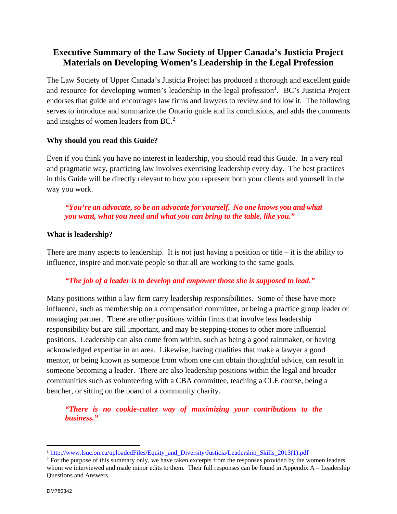# **Executive Summary of the Law Society of Upper Canada's Justicia Project Materials on Developing Women's Leadership in the Legal Profession**

The Law Society of Upper Canada's Justicia Project has produced a thorough and excellent guide and resource for developing women's leadership in the legal profession<sup>1</sup>. BC's Justicia Project endorses that guide and encourages law firms and lawyers to review and follow it. The following serves to introduce and summarize the Ontario guide and its conclusions, and adds the comments and insights of women leaders from BC.<sup>2</sup>

# **Why should you read this Guide?**

Even if you think you have no interest in leadership, you should read this Guide. In a very real and pragmatic way, practicing law involves exercising leadership every day. The best practices in this Guide will be directly relevant to how you represent both your clients and yourself in the way you work.

*"You're an advocate, so be an advocate for yourself. No one knows you and what you want, what you need and what you can bring to the table, like you."* 

# **What is leadership?**

There are many aspects to leadership. It is not just having a position or title – it is the ability to influence, inspire and motivate people so that all are working to the same goals.

# *"The job of a leader is to develop and empower those she is supposed to lead."*

Many positions within a law firm carry leadership responsibilities. Some of these have more influence, such as membership on a compensation committee, or being a practice group leader or managing partner. There are other positions within firms that involve less leadership responsibility but are still important, and may be stepping-stones to other more influential positions. Leadership can also come from within, such as being a good rainmaker, or having acknowledged expertise in an area. Likewise, having qualities that make a lawyer a good mentor, or being known as someone from whom one can obtain thoughtful advice, can result in someone becoming a leader. There are also leadership positions within the legal and broader communities such as volunteering with a CBA committee, teaching a CLE course, being a bencher, or sitting on the board of a community charity.

*"There is no cookie-cutter way of maximizing your contributions to the business."* 

 $\overline{a}$ 

<sup>&</sup>lt;sup>1</sup> http://www.lsuc.on.ca/uploadedFiles/Equity\_and\_Diversity/Justicia/Leadership\_Skills\_2013(1).pdf

<sup>&</sup>lt;sup>2</sup> For the purpose of this summary only, we have taken excerpts from the responses provided by the women leaders whom we interviewed and made minor edits to them. Their full responses can be found in Appendix A – Leadership Questions and Answers.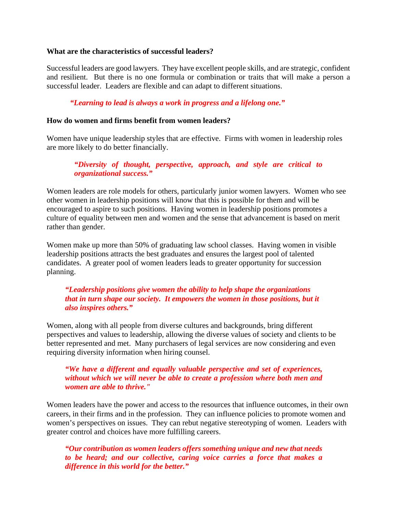#### **What are the characteristics of successful leaders?**

Successful leaders are good lawyers. They have excellent people skills, and are strategic, confident and resilient. But there is no one formula or combination or traits that will make a person a successful leader. Leaders are flexible and can adapt to different situations.

*"Learning to lead is always a work in progress and a lifelong one."* 

#### **How do women and firms benefit from women leaders?**

Women have unique leadership styles that are effective. Firms with women in leadership roles are more likely to do better financially.

*"Diversity of thought, perspective, approach, and style are critical to organizational success."* 

Women leaders are role models for others, particularly junior women lawyers. Women who see other women in leadership positions will know that this is possible for them and will be encouraged to aspire to such positions. Having women in leadership positions promotes a culture of equality between men and women and the sense that advancement is based on merit rather than gender.

Women make up more than 50% of graduating law school classes. Having women in visible leadership positions attracts the best graduates and ensures the largest pool of talented candidates. A greater pool of women leaders leads to greater opportunity for succession planning.

*"Leadership positions give women the ability to help shape the organizations that in turn shape our society. It empowers the women in those positions, but it also inspires others."* 

Women, along with all people from diverse cultures and backgrounds, bring different perspectives and values to leadership, allowing the diverse values of society and clients to be better represented and met. Many purchasers of legal services are now considering and even requiring diversity information when hiring counsel.

#### *"We have a different and equally valuable perspective and set of experiences, without which we will never be able to create a profession where both men and women are able to thrive."*

Women leaders have the power and access to the resources that influence outcomes, in their own careers, in their firms and in the profession. They can influence policies to promote women and women's perspectives on issues. They can rebut negative stereotyping of women. Leaders with greater control and choices have more fulfilling careers.

*"Our contribution as women leaders offers something unique and new that needs to be heard; and our collective, caring voice carries a force that makes a difference in this world for the better."*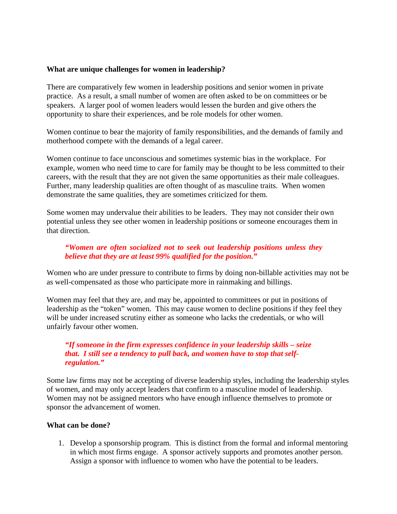### **What are unique challenges for women in leadership?**

There are comparatively few women in leadership positions and senior women in private practice. As a result, a small number of women are often asked to be on committees or be speakers. A larger pool of women leaders would lessen the burden and give others the opportunity to share their experiences, and be role models for other women.

Women continue to bear the majority of family responsibilities, and the demands of family and motherhood compete with the demands of a legal career.

Women continue to face unconscious and sometimes systemic bias in the workplace. For example, women who need time to care for family may be thought to be less committed to their careers, with the result that they are not given the same opportunities as their male colleagues. Further, many leadership qualities are often thought of as masculine traits. When women demonstrate the same qualities, they are sometimes criticized for them.

Some women may undervalue their abilities to be leaders. They may not consider their own potential unless they see other women in leadership positions or someone encourages them in that direction.

# *"Women are often socialized not to seek out leadership positions unless they believe that they are at least 99% qualified for the position."*

Women who are under pressure to contribute to firms by doing non-billable activities may not be as well-compensated as those who participate more in rainmaking and billings.

Women may feel that they are, and may be, appointed to committees or put in positions of leadership as the "token" women. This may cause women to decline positions if they feel they will be under increased scrutiny either as someone who lacks the credentials, or who will unfairly favour other women.

# *"If someone in the firm expresses confidence in your leadership skills – seize that. I still see a tendency to pull back, and women have to stop that selfregulation."*

Some law firms may not be accepting of diverse leadership styles, including the leadership styles of women, and may only accept leaders that confirm to a masculine model of leadership. Women may not be assigned mentors who have enough influence themselves to promote or sponsor the advancement of women.

#### **What can be done?**

1. Develop a sponsorship program. This is distinct from the formal and informal mentoring in which most firms engage. A sponsor actively supports and promotes another person. Assign a sponsor with influence to women who have the potential to be leaders.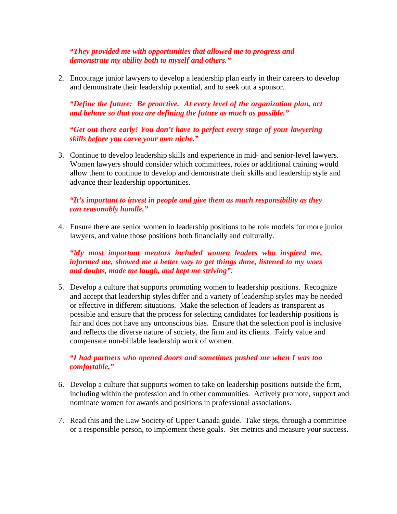## *"They provided me with opportunities that allowed me to progress and demonstrate my ability both to myself and others."*

2. Encourage junior lawyers to develop a leadership plan early in their careers to develop and demonstrate their leadership potential, and to seek out a sponsor.

*"Define the future: Be proactive. At every level of the organization plan, act and behave so that you are defining the future as much as possible."* 

*"Get out there early! You don't have to perfect every stage of your lawyering skills before you carve your own niche."* 

3. Continue to develop leadership skills and experience in mid- and senior-level lawyers. Women lawyers should consider which committees, roles or additional training would allow them to continue to develop and demonstrate their skills and leadership style and advance their leadership opportunities.

# *"It's important to invest in people and give them as much responsibility as they can reasonably handle."*

4. Ensure there are senior women in leadership positions to be role models for more junior lawyers, and value those positions both financially and culturally.

*"My most important mentors included women leaders who inspired me, informed me, showed me a better way to get things done, listened to my woes and doubts, made me laugh, and kept me striving".* 

5. Develop a culture that supports promoting women to leadership positions. Recognize and accept that leadership styles differ and a variety of leadership styles may be needed or effective in different situations. Make the selection of leaders as transparent as possible and ensure that the process for selecting candidates for leadership positions is fair and does not have any unconscious bias. Ensure that the selection pool is inclusive and reflects the diverse nature of society, the firm and its clients. Fairly value and compensate non-billable leadership work of women.

## *"I had partners who opened doors and sometimes pushed me when I was too comfortable."*

- 6. Develop a culture that supports women to take on leadership positions outside the firm, including within the profession and in other communities. Actively promote, support and nominate women for awards and positions in professional associations.
- 7. Read this and the Law Society of Upper Canada guide. Take steps, through a committee or a responsible person, to implement these goals. Set metrics and measure your success.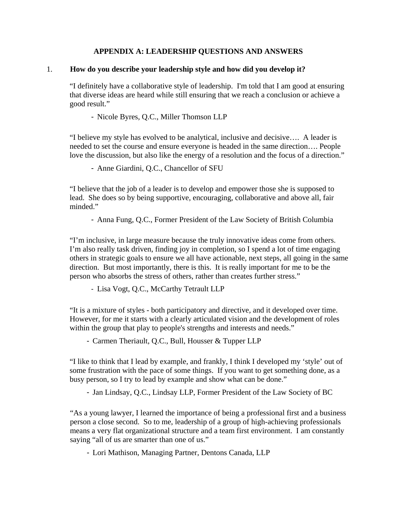## **APPENDIX A: LEADERSHIP QUESTIONS AND ANSWERS**

#### 1. **How do you describe your leadership style and how did you develop it?**

"I definitely have a collaborative style of leadership. I'm told that I am good at ensuring that diverse ideas are heard while still ensuring that we reach a conclusion or achieve a good result."

- Nicole Byres, Q.C., Miller Thomson LLP

"I believe my style has evolved to be analytical, inclusive and decisive…. A leader is needed to set the course and ensure everyone is headed in the same direction…. People love the discussion, but also like the energy of a resolution and the focus of a direction."

- Anne Giardini, Q.C., Chancellor of SFU

"I believe that the job of a leader is to develop and empower those she is supposed to lead. She does so by being supportive, encouraging, collaborative and above all, fair minded."

- Anna Fung, Q.C., Former President of the Law Society of British Columbia

"I'm inclusive, in large measure because the truly innovative ideas come from others. I'm also really task driven, finding joy in completion, so I spend a lot of time engaging others in strategic goals to ensure we all have actionable, next steps, all going in the same direction. But most importantly, there is this. It is really important for me to be the person who absorbs the stress of others, rather than creates further stress."

- Lisa Vogt, Q.C., McCarthy Tetrault LLP

"It is a mixture of styles - both participatory and directive, and it developed over time. However, for me it starts with a clearly articulated vision and the development of roles within the group that play to people's strengths and interests and needs."

- Carmen Theriault, Q.C., Bull, Housser & Tupper LLP

"I like to think that I lead by example, and frankly, I think I developed my 'style' out of some frustration with the pace of some things. If you want to get something done, as a busy person, so I try to lead by example and show what can be done."

- Jan Lindsay, Q.C., Lindsay LLP, Former President of the Law Society of BC

"As a young lawyer, I learned the importance of being a professional first and a business person a close second. So to me, leadership of a group of high-achieving professionals means a very flat organizational structure and a team first environment. I am constantly saying "all of us are smarter than one of us."

- Lori Mathison, Managing Partner, Dentons Canada, LLP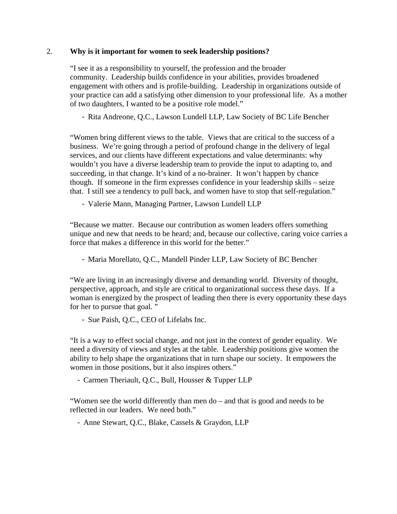#### 2. **Why is it important for women to seek leadership positions?**

"I see it as a responsibility to yourself, the profession and the broader community. Leadership builds confidence in your abilities, provides broadened engagement with others and is profile-building. Leadership in organizations outside of your practice can add a satisfying other dimension to your professional life. As a mother of two daughters, I wanted to be a positive role model."

- Rita Andreone, Q.C., Lawson Lundell LLP, Law Society of BC Life Bencher

"Women bring different views to the table. Views that are critical to the success of a business. We're going through a period of profound change in the delivery of legal services, and our clients have different expectations and value determinants: why wouldn't you have a diverse leadership team to provide the input to adapting to, and succeeding, in that change. It's kind of a no-brainer. It won't happen by chance though. If someone in the firm expresses confidence in your leadership skills – seize that. I still see a tendency to pull back, and women have to stop that self-regulation."

- Valerie Mann, Managing Partner, Lawson Lundell LLP

"Because we matter. Because our contribution as women leaders offers something unique and new that needs to be heard; and, because our collective, caring voice carries a force that makes a difference in this world for the better."

- Maria Morellato, Q.C., Mandell Pinder LLP, Law Society of BC Bencher

"We are living in an increasingly diverse and demanding world. Diversity of thought, perspective, approach, and style are critical to organizational success these days. If a woman is energized by the prospect of leading then there is every opportunity these days for her to pursue that goal. "

- Sue Paish, Q.C., CEO of Lifelabs Inc.

"It is a way to effect social change, and not just in the context of gender equality. We need a diversity of views and styles at the table. Leadership positions give women the ability to help shape the organizations that in turn shape our society. It empowers the women in those positions, but it also inspires others."

- Carmen Theriault, Q.C., Bull, Housser & Tupper LLP

"Women see the world differently than men do – and that is good and needs to be reflected in our leaders. We need both."

- Anne Stewart, Q.C., Blake, Cassels & Graydon, LLP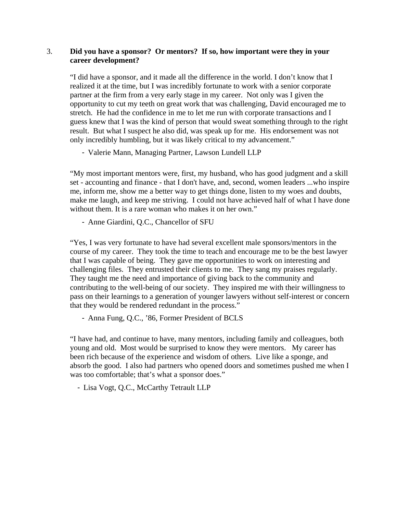#### 3. **Did you have a sponsor? Or mentors? If so, how important were they in your career development?**

"I did have a sponsor, and it made all the difference in the world. I don't know that I realized it at the time, but I was incredibly fortunate to work with a senior corporate partner at the firm from a very early stage in my career. Not only was I given the opportunity to cut my teeth on great work that was challenging, David encouraged me to stretch. He had the confidence in me to let me run with corporate transactions and I guess knew that I was the kind of person that would sweat something through to the right result. But what I suspect he also did, was speak up for me. His endorsement was not only incredibly humbling, but it was likely critical to my advancement."

- Valerie Mann, Managing Partner, Lawson Lundell LLP

"My most important mentors were, first, my husband, who has good judgment and a skill set - accounting and finance - that I don't have, and, second, women leaders ...who inspire me, inform me, show me a better way to get things done, listen to my woes and doubts, make me laugh, and keep me striving. I could not have achieved half of what I have done without them. It is a rare woman who makes it on her own."

- Anne Giardini, Q.C., Chancellor of SFU

"Yes, I was very fortunate to have had several excellent male sponsors/mentors in the course of my career. They took the time to teach and encourage me to be the best lawyer that I was capable of being. They gave me opportunities to work on interesting and challenging files. They entrusted their clients to me. They sang my praises regularly. They taught me the need and importance of giving back to the community and contributing to the well-being of our society. They inspired me with their willingness to pass on their learnings to a generation of younger lawyers without self-interest or concern that they would be rendered redundant in the process."

- Anna Fung, Q.C., '86, Former President of BCLS

"I have had, and continue to have, many mentors, including family and colleagues, both young and old. Most would be surprised to know they were mentors. My career has been rich because of the experience and wisdom of others. Live like a sponge, and absorb the good. I also had partners who opened doors and sometimes pushed me when I was too comfortable; that's what a sponsor does."

- Lisa Vogt, Q.C., McCarthy Tetrault LLP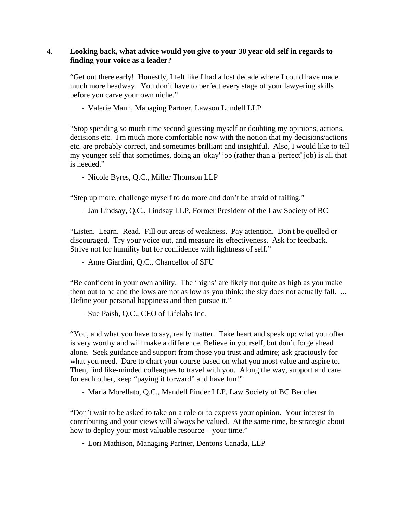#### 4. **Looking back, what advice would you give to your 30 year old self in regards to finding your voice as a leader?**

"Get out there early! Honestly, I felt like I had a lost decade where I could have made much more headway. You don't have to perfect every stage of your lawyering skills before you carve your own niche."

- Valerie Mann, Managing Partner, Lawson Lundell LLP

"Stop spending so much time second guessing myself or doubting my opinions, actions, decisions etc. I'm much more comfortable now with the notion that my decisions/actions etc. are probably correct, and sometimes brilliant and insightful. Also, I would like to tell my younger self that sometimes, doing an 'okay' job (rather than a 'perfect' job) is all that is needed."

- Nicole Byres, Q.C., Miller Thomson LLP

"Step up more, challenge myself to do more and don't be afraid of failing."

- Jan Lindsay, Q.C., Lindsay LLP, Former President of the Law Society of BC

"Listen. Learn. Read. Fill out areas of weakness. Pay attention. Don't be quelled or discouraged. Try your voice out, and measure its effectiveness. Ask for feedback. Strive not for humility but for confidence with lightness of self."

- Anne Giardini, Q.C., Chancellor of SFU

"Be confident in your own ability. The 'highs' are likely not quite as high as you make them out to be and the lows are not as low as you think: the sky does not actually fall. ... Define your personal happiness and then pursue it."

- Sue Paish, Q.C., CEO of Lifelabs Inc.

"You, and what you have to say, really matter. Take heart and speak up: what you offer is very worthy and will make a difference. Believe in yourself, but don't forge ahead alone. Seek guidance and support from those you trust and admire; ask graciously for what you need. Dare to chart your course based on what you most value and aspire to. Then, find like-minded colleagues to travel with you. Along the way, support and care for each other, keep "paying it forward" and have fun!"

- Maria Morellato, Q.C., Mandell Pinder LLP, Law Society of BC Bencher

"Don't wait to be asked to take on a role or to express your opinion. Your interest in contributing and your views will always be valued. At the same time, be strategic about how to deploy your most valuable resource – your time."

- Lori Mathison, Managing Partner, Dentons Canada, LLP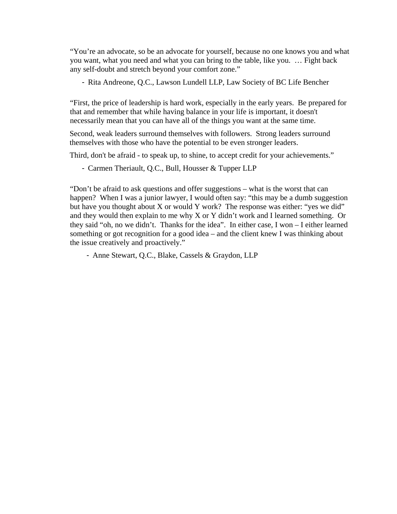"You're an advocate, so be an advocate for yourself, because no one knows you and what you want, what you need and what you can bring to the table, like you. … Fight back any self-doubt and stretch beyond your comfort zone."

- Rita Andreone, Q.C., Lawson Lundell LLP, Law Society of BC Life Bencher

"First, the price of leadership is hard work, especially in the early years. Be prepared for that and remember that while having balance in your life is important, it doesn't necessarily mean that you can have all of the things you want at the same time.

Second, weak leaders surround themselves with followers. Strong leaders surround themselves with those who have the potential to be even stronger leaders.

Third, don't be afraid - to speak up, to shine, to accept credit for your achievements."

- Carmen Theriault, Q.C., Bull, Housser & Tupper LLP

"Don't be afraid to ask questions and offer suggestions – what is the worst that can happen? When I was a junior lawyer, I would often say: "this may be a dumb suggestion but have you thought about X or would Y work? The response was either: "yes we did" and they would then explain to me why X or Y didn't work and I learned something. Or they said "oh, no we didn't. Thanks for the idea". In either case, I won – I either learned something or got recognition for a good idea – and the client knew I was thinking about the issue creatively and proactively."

- Anne Stewart, Q.C., Blake, Cassels & Graydon, LLP